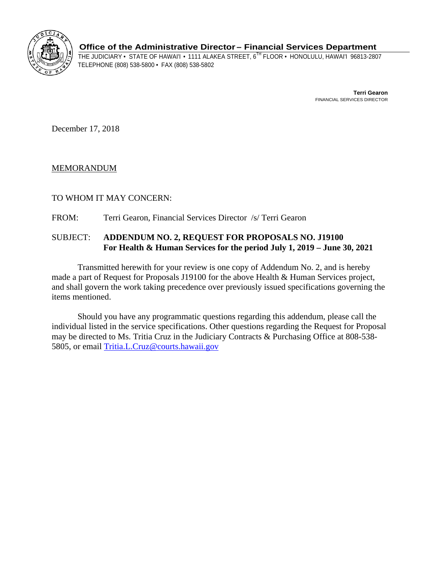

**Office of the Administrative Director– Financial Services Department** 

THE JUDICIARY • STATE OF HAWAI'I • 1111 ALAKEA STREET, 6<sup>TH</sup> FLOOR • HONOLULU, HAWAI'I 96813-2807<br>TELEPHONE (808) 538-5800 • FAX (808) 538-5802

**Terri Gearon**  FINANCIAL SERVICES DIRECTOR

December 17, 2018

## MEMORANDUM

## TO WHOM IT MAY CONCERN:

FROM: Terri Gearon, Financial Services Director /s/ Terri Gearon

## SUBJECT: **ADDENDUM NO. 2, REQUEST FOR PROPOSALS NO. J19100 For Health & Human Services for the period July 1, 2019 – June 30, 2021**

Transmitted herewith for your review is one copy of Addendum No. 2, and is hereby made a part of Request for Proposals J19100 for the above Health & Human Services project, and shall govern the work taking precedence over previously issued specifications governing the items mentioned.

Should you have any programmatic questions regarding this addendum, please call the individual listed in the service specifications. Other questions regarding the Request for Proposal may be directed to Ms. Tritia Cruz in the Judiciary Contracts & Purchasing Office at 808-538- 5805, or email Tritia.L.Cruz@courts.hawaii.gov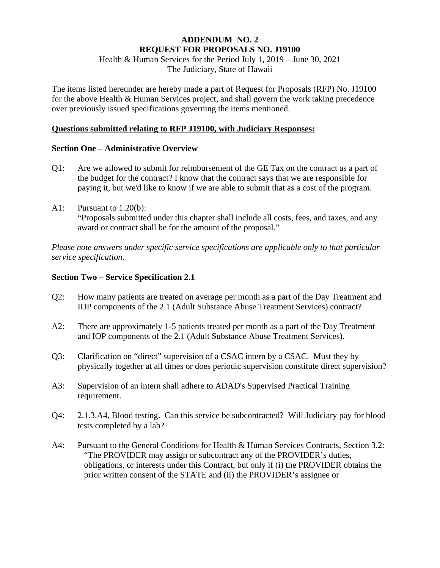# **ADDENDUM NO. 2 REQUEST FOR PROPOSALS NO. J19100**

Health & Human Services for the Period July 1, 2019 – June 30, 2021 The Judiciary, State of Hawaii

The items listed hereunder are hereby made a part of Request for Proposals (RFP) No. J19100 for the above Health & Human Services project, and shall govern the work taking precedence over previously issued specifications governing the items mentioned.

### **Questions submitted relating to RFP J19100, with Judiciary Responses:**

## **Section One – Administrative Overview**

- Q1: Are we allowed to submit for reimbursement of the GE Tax on the contract as a part of the budget for the contract? I know that the contract says that we are responsible for paying it, but we'd like to know if we are able to submit that as a cost of the program.
- A1: Pursuant to 1.20(b): "Proposals submitted under this chapter shall include all costs, fees, and taxes, and any award or contract shall be for the amount of the proposal."

*Please note answers under specific service specifications are applicable only to that particular service specification.* 

## **Section Two – Service Specification 2.1**

- Q2: How many patients are treated on average per month as a part of the Day Treatment and IOP components of the 2.1 (Adult Substance Abuse Treatment Services) contract?
- A2: There are approximately 1-5 patients treated per month as a part of the Day Treatment and IOP components of the 2.1 (Adult Substance Abuse Treatment Services).
- Q3: Clarification on "direct" supervision of a CSAC intern by a CSAC. Must they by physically together at all times or does periodic supervision constitute direct supervision?
- A3: Supervision of an intern shall adhere to ADAD's Supervised Practical Training requirement.
- Q4: 2.1.3.A4, Blood testing. Can this service be subcontracted? Will Judiciary pay for blood tests completed by a lab?
- A4: Pursuant to the General Conditions for Health & Human Services Contracts, Section 3.2: "The PROVIDER may assign or subcontract any of the PROVIDER's duties, obligations, or interests under this Contract, but only if (i) the PROVIDER obtains the prior written consent of the STATE and (ii) the PROVIDER's assignee or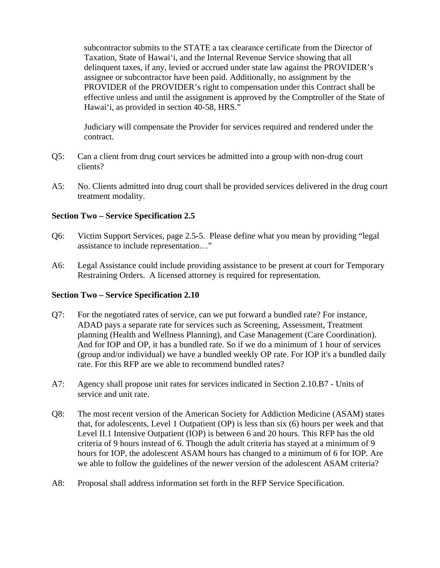subcontractor submits to the STATE a tax clearance certificate from the Director of Taxation, State of Hawai'i, and the Internal Revenue Service showing that all delinquent taxes, if any, levied or accrued under state law against the PROVIDER's assignee or subcontractor have been paid. Additionally, no assignment by the PROVIDER of the PROVIDER's right to compensation under this Contract shall be effective unless and until the assignment is approved by the Comptroller of the State of Hawai'i, as provided in section 40-58, HRS."

Judiciary will compensate the Provider for services required and rendered under the contract.

- Q5: Can a client from drug court services be admitted into a group with non-drug court clients?
- A5: No. Clients admitted into drug court shall be provided services delivered in the drug court treatment modality.

### **Section Two – Service Specification 2.5**

- Q6: Victim Support Services, page 2.5-5. Please define what you mean by providing "legal assistance to include representation…"
- A6: Legal Assistance could include providing assistance to be present at court for Temporary Restraining Orders. A licensed attorney is required for representation.

### **Section Two – Service Specification 2.10**

- Q7: For the negotiated rates of service, can we put forward a bundled rate? For instance, ADAD pays a separate rate for services such as Screening, Assessment, Treatment planning (Health and Wellness Planning), and Case Management (Care Coordination). And for IOP and OP, it has a bundled rate. So if we do a minimum of 1 hour of services (group and/or individual) we have a bundled weekly OP rate. For IOP it's a bundled daily rate. For this RFP are we able to recommend bundled rates?
- A7: Agency shall propose unit rates for services indicated in Section 2.10.B7 Units of service and unit rate.
- Q8: The most recent version of the American Society for Addiction Medicine (ASAM) states that, for adolescents, Level 1 Outpatient (OP) is less than six (6) hours per week and that Level II.1 Intensive Outpatient (IOP) is between 6 and 20 hours. This RFP has the old criteria of 9 hours instead of 6. Though the adult criteria has stayed at a minimum of 9 hours for IOP, the adolescent ASAM hours has changed to a minimum of 6 for IOP. Are we able to follow the guidelines of the newer version of the adolescent ASAM criteria?
- A8: Proposal shall address information set forth in the RFP Service Specification.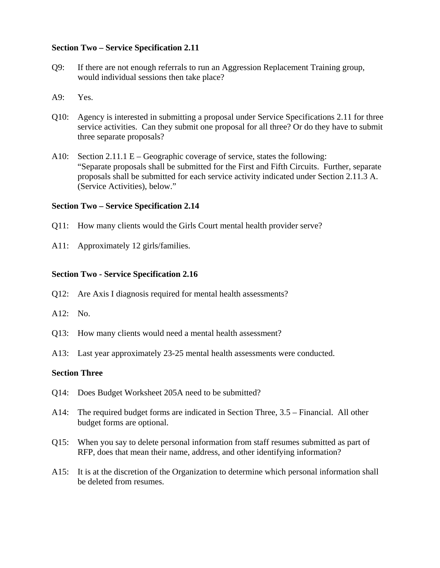### **Section Two – Service Specification 2.11**

- Q9: If there are not enough referrals to run an Aggression Replacement Training group, would individual sessions then take place?
- A9: Yes.
- Q10: Agency is interested in submitting a proposal under Service Specifications 2.11 for three service activities. Can they submit one proposal for all three? Or do they have to submit three separate proposals?
- A10: Section 2.11.1 E Geographic coverage of service, states the following: "Separate proposals shall be submitted for the First and Fifth Circuits. Further, separate proposals shall be submitted for each service activity indicated under Section 2.11.3 A. (Service Activities), below."

#### **Section Two – Service Specification 2.14**

- Q11: How many clients would the Girls Court mental health provider serve?
- A11: Approximately 12 girls/families.

#### **Section Two - Service Specification 2.16**

- Q12: Are Axis I diagnosis required for mental health assessments?
- A12: No.
- Q13: How many clients would need a mental health assessment?
- A13: Last year approximately 23-25 mental health assessments were conducted.

#### **Section Three**

- Q14: Does Budget Worksheet 205A need to be submitted?
- A14: The required budget forms are indicated in Section Three, 3.5 Financial. All other budget forms are optional.
- Q15: When you say to delete personal information from staff resumes submitted as part of RFP, does that mean their name, address, and other identifying information?
- A15: It is at the discretion of the Organization to determine which personal information shall be deleted from resumes.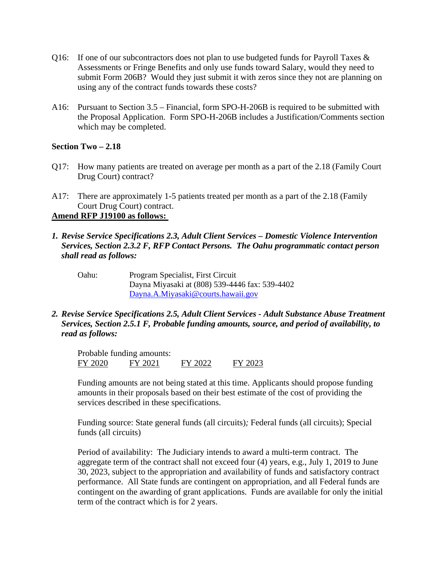- Q16: If one of our subcontractors does not plan to use budgeted funds for Payroll Taxes & Assessments or Fringe Benefits and only use funds toward Salary, would they need to submit Form 206B? Would they just submit it with zeros since they not are planning on using any of the contract funds towards these costs?
- A16: Pursuant to Section 3.5 Financial, form SPO-H-206B is required to be submitted with the Proposal Application. Form SPO-H-206B includes a Justification/Comments section which may be completed.

### **Section Two – 2.18**

- Q17: How many patients are treated on average per month as a part of the 2.18 (Family Court Drug Court) contract?
- A17: There are approximately 1-5 patients treated per month as a part of the 2.18 (Family Court Drug Court) contract.

# **Amend RFP J19100 as follows:**

- *1. Revise Service Specifications 2.3, Adult Client Services Domestic Violence Intervention Services, Section 2.3.2 F, RFP Contact Persons. The Oahu programmatic contact person shall read as follows:* 
	- Oahu: Program Specialist, First Circuit Dayna Miyasaki at (808) 539-4446 fax: 539-4402 Dayna.A.Miyasaki@courts.hawaii.gov
- *2. Revise Service Specifications 2.5, Adult Client Services Adult Substance Abuse Treatment Services, Section 2.5.1 F, Probable funding amounts, source, and period of availability, to read as follows:*

Probable funding amounts: FY 2020 FY 2021 FY 2022 FY 2023

Funding amounts are not being stated at this time. Applicants should propose funding amounts in their proposals based on their best estimate of the cost of providing the services described in these specifications.

Funding source: State general funds (all circuits)*;* Federal funds (all circuits); Special funds (all circuits)

Period of availability: The Judiciary intends to award a multi-term contract. The aggregate term of the contract shall not exceed four (4) years, e.g., July 1, 2019 to June 30, 2023, subject to the appropriation and availability of funds and satisfactory contract performance. All State funds are contingent on appropriation, and all Federal funds are contingent on the awarding of grant applications. Funds are available for only the initial term of the contract which is for 2 years.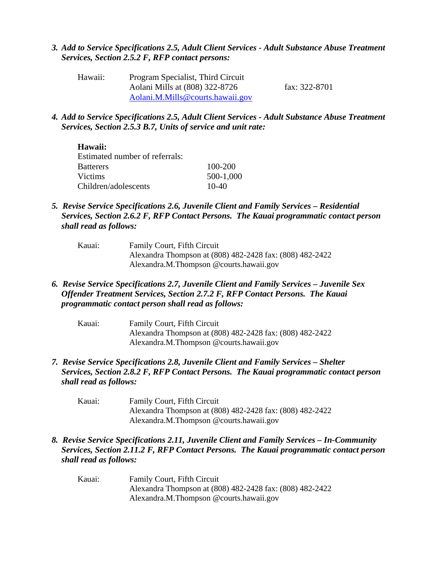### *3. Add to Service Specifications 2.5, Adult Client Services - Adult Substance Abuse Treatment Services, Section 2.5.2 F, RFP contact persons:*

| Hawaii: | Program Specialist, Third Circuit |               |
|---------|-----------------------------------|---------------|
|         | Aolani Mills at (808) 322-8726    | fax: 322-8701 |
|         | Aolani.M.Mills@courts.hawaii.gov  |               |

*4. Add to Service Specifications 2.5, Adult Client Services - Adult Substance Abuse Treatment Services, Section 2.5.3 B.7, Units of service and unit rate:* 

| <b>Hawaii:</b>                 |           |
|--------------------------------|-----------|
| Estimated number of referrals: |           |
| <b>Batterers</b>               | 100-200   |
| Victims                        | 500-1,000 |
| Children/adolescents           | $10-40$   |

- *5. Revise Service Specifications 2.6, Juvenile Client and Family Services Residential Services, Section 2.6.2 F, RFP Contact Persons. The Kauai programmatic contact person shall read as follows:* 
	- Kauai: Family Court, Fifth Circuit Alexandra Thompson at (808) 482-2428 fax: (808) 482-2422 Alexandra.M.Thompson @courts.hawaii.gov
- *6. Revise Service Specifications 2.7, Juvenile Client and Family Services Juvenile Sex Offender Treatment Services, Section 2.7.2 F, RFP Contact Persons. The Kauai programmatic contact person shall read as follows:*

| Kauai: | Family Court, Fifth Circuit                              |
|--------|----------------------------------------------------------|
|        | Alexandra Thompson at (808) 482-2428 fax: (808) 482-2422 |
|        | Alexandra.M.Thompson @courts.hawaii.gov                  |

- *7. Revise Service Specifications 2.8, Juvenile Client and Family Services Shelter Services, Section 2.8.2 F, RFP Contact Persons. The Kauai programmatic contact person shall read as follows:* 
	- Kauai: Family Court, Fifth Circuit Alexandra Thompson at (808) 482-2428 fax: (808) 482-2422 Alexandra.M.Thompson @courts.hawaii.gov
- *8. Revise Service Specifications 2.11, Juvenile Client and Family Services In-Community Services, Section 2.11.2 F, RFP Contact Persons. The Kauai programmatic contact person shall read as follows:* 
	- Kauai: Family Court, Fifth Circuit Alexandra Thompson at (808) 482-2428 fax: (808) 482-2422 Alexandra.M.Thompson @courts.hawaii.gov